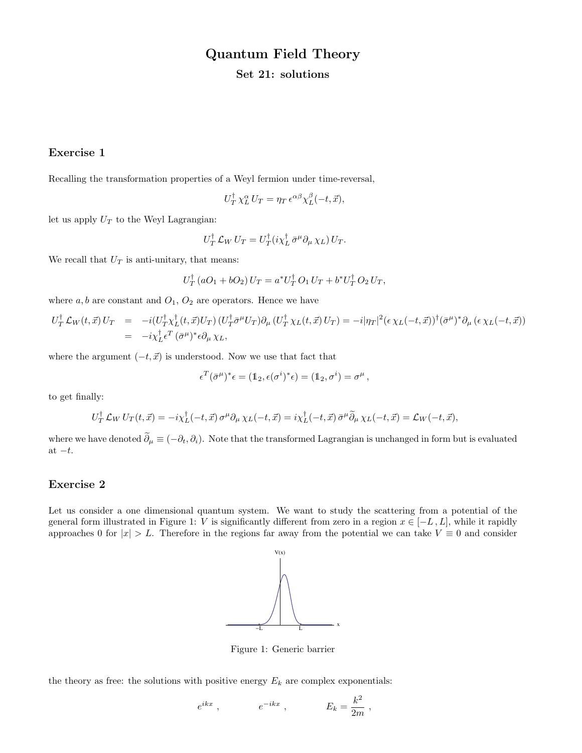# Quantum Field Theory

## Set 21: solutions

### Exercise 1

Recalling the transformation properties of a Weyl fermion under time-reversal,

$$
U_T^{\dagger} \chi_L^{\alpha} U_T = \eta_T \, \epsilon^{\alpha \beta} \chi_L^{\beta}(-t, \vec{x}),
$$

let us apply  $U_T$  to the Weyl Lagrangian:

$$
U_T^{\dagger} \mathcal{L}_W U_T = U_T^{\dagger} (i \chi_L^{\dagger} \bar{\sigma}^{\mu} \partial_{\mu} \chi_L) U_T.
$$

We recall that  $U_T$  is anti-unitary, that means:

$$
U_T^{\dagger} (a O_1 + b O_2) U_T = a^* U_T^{\dagger} O_1 U_T + b^* U_T^{\dagger} O_2 U_T,
$$

where  $a, b$  are constant and  $O_1, O_2$  are operators. Hence we have

$$
U_T^{\dagger} \mathcal{L}_W(t, \vec{x}) U_T = -i(U_T^{\dagger} \chi_L^{\dagger}(t, \vec{x}) U_T) (U_T^{\dagger} \bar{\sigma}^{\mu} U_T) \partial_{\mu} (U_T^{\dagger} \chi_L(t, \vec{x}) U_T) = -i |\eta_T|^2 (\epsilon \chi_L(-t, \vec{x}))^{\dagger} (\bar{\sigma}^{\mu})^* \partial_{\mu} (\epsilon \chi_L(-t, \vec{x}))
$$
  
= 
$$
-i \chi_L^{\dagger} \epsilon^T (\bar{\sigma}^{\mu})^* \epsilon \partial_{\mu} \chi_L,
$$

where the argument  $(-t, \vec{x})$  is understood. Now we use that fact that

$$
\epsilon^T(\bar{\sigma}^\mu)^*\epsilon = (\mathbb{1}_2, \epsilon(\sigma^i)^*\epsilon) = (\mathbb{1}_2, \sigma^i) = \sigma^\mu,
$$

to get finally:

$$
U_T^{\dagger} \mathcal{L}_W U_T(t, \vec{x}) = -i \chi_L^{\dagger}(-t, \vec{x}) \sigma^{\mu} \partial_{\mu} \chi_L(-t, \vec{x}) = i \chi_L^{\dagger}(-t, \vec{x}) \bar{\sigma}^{\mu} \widetilde{\partial}_{\mu} \chi_L(-t, \vec{x}) = \mathcal{L}_W(-t, \vec{x}),
$$

where we have denoted  $\tilde{\partial}_{\mu} \equiv (-\partial_t, \partial_i)$ . Note that the transformed Lagrangian is unchanged in form but is evaluated at  $-t$ .

#### Exercise 2

Let us consider a one dimensional quantum system. We want to study the scattering from a potential of the general form illustrated in Figure 1: V is significantly different from zero in a region  $x \in [-L, L]$ , while it rapidly approaches 0 for  $|x| > L$ . Therefore in the regions far away from the potential we can take  $V \equiv 0$  and consider



Figure 1: Generic barrier

the theory as free: the solutions with positive energy  $E_k$  are complex exponentials:

$$
e^{ikx} , \qquad \qquad e^{-ikx} , \qquad \qquad E_k = \frac{k^2}{2m} ,
$$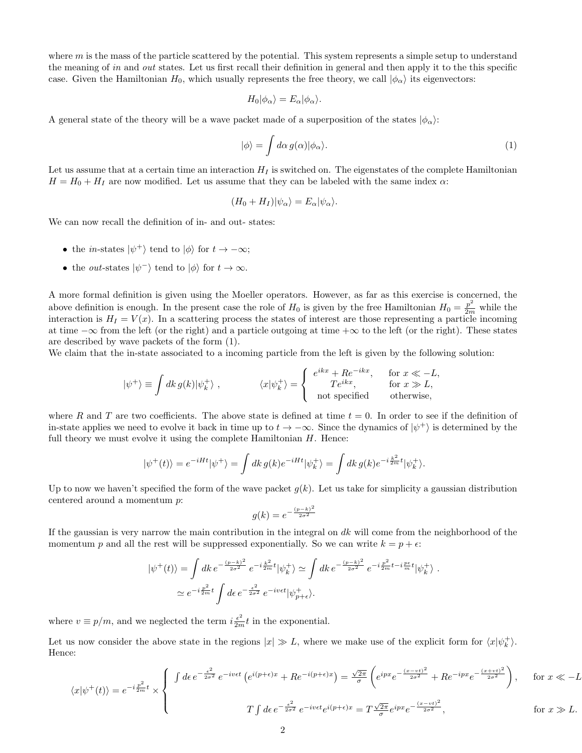where  $m$  is the mass of the particle scattered by the potential. This system represents a simple setup to understand the meaning of in and out states. Let us first recall their definition in general and then apply it to the this specific case. Given the Hamiltonian  $H_0$ , which usually represents the free theory, we call  $|\phi_\alpha\rangle$  its eigenvectors:

$$
H_0|\phi_\alpha\rangle = E_\alpha|\phi_\alpha\rangle.
$$

A general state of the theory will be a wave packet made of a superposition of the states  $|\phi_{\alpha}\rangle$ :

$$
|\phi\rangle = \int d\alpha \, g(\alpha) |\phi_{\alpha}\rangle. \tag{1}
$$

Let us assume that at a certain time an interaction  $H_I$  is switched on. The eigenstates of the complete Hamiltonian  $H = H_0 + H_I$  are now modified. Let us assume that they can be labeled with the same index  $\alpha$ :

$$
(H_0 + H_I)|\psi_{\alpha}\rangle = E_{\alpha}|\psi_{\alpha}\rangle.
$$

We can now recall the definition of in- and out- states:

- the *in*-states  $|\psi^+\rangle$  tend to  $|\phi\rangle$  for  $t \to -\infty$ ;
- the *out*-states  $|\psi^{-}\rangle$  tend to  $|\phi\rangle$  for  $t \to \infty$ .

A more formal definition is given using the Moeller operators. However, as far as this exercise is concerned, the above definition is enough. In the present case the role of  $H_0$  is given by the free Hamiltonian  $H_0 = \frac{p^2}{2m}$  while the interaction is  $H_I = V(x)$ . In a scattering process the states of interest are those representing a particle incoming at time  $-\infty$  from the left (or the right) and a particle outgoing at time  $+\infty$  to the left (or the right). These states are described by wave packets of the form (1).

We claim that the in-state associated to a incoming particle from the left is given by the following solution:

$$
|\psi^{+}\rangle \equiv \int dk \, g(k) |\psi_{k}^{+}\rangle \;, \qquad \qquad \langle x|\psi_{k}^{+}\rangle = \begin{cases} e^{ikx} + Re^{-ikx}, & \text{for } x \ll -L, \\ T e^{ikx}, & \text{for } x \gg L, \\ \text{not specified} & \text{otherwise}, \end{cases}
$$

where R and T are two coefficients. The above state is defined at time  $t = 0$ . In order to see if the definition of in-state applies we need to evolve it back in time up to  $t \to -\infty$ . Since the dynamics of  $|\psi^+\rangle$  is determined by the full theory we must evolve it using the complete Hamiltonian  $H$ . Hence:

$$
|\psi^+(t)\rangle = e^{-iHt}|\psi^+\rangle = \int dk \, g(k)e^{-iHt}|\psi^+_k\rangle = \int dk \, g(k)e^{-i\frac{k^2}{2m}t}|\psi^+_k\rangle.
$$

Up to now we haven't specified the form of the wave packet  $g(k)$ . Let us take for simplicity a gaussian distribution centered around a momentum p:

$$
g(k) = e^{-\frac{(p-k)^2}{2\sigma^2}}
$$

If the gaussian is very narrow the main contribution in the integral on  $dk$  will come from the neighborhood of the momentum p and all the rest will be suppressed exponentially. So we can write  $k = p + \epsilon$ :

$$
|\psi^{+}(t)\rangle = \int dk \, e^{-\frac{(p-k)^2}{2\sigma^2}} \, e^{-i\frac{k^2}{2m}t} |\psi^{+}_k\rangle \simeq \int dk \, e^{-\frac{(p-k)^2}{2\sigma^2}} \, e^{-i\frac{p^2}{2m}t - i\frac{p\epsilon}{m}t} |\psi^{+}_k\rangle \; .
$$
  

$$
\simeq e^{-i\frac{p^2}{2m}t} \int d\epsilon \, e^{-\frac{\epsilon^2}{2\sigma^2}} \, e^{-iv\epsilon t} |\psi^{+}_{p+\epsilon}\rangle.
$$

where  $v \equiv p/m$ , and we neglected the term  $i \frac{\epsilon^2}{2m} t$  in the exponential.

Let us now consider the above state in the regions  $|x| \gg L$ , where we make use of the explicit form for  $\langle x|\psi_k^{\dagger}\rangle$ . Hence:

$$
\langle x|\psi^+(t)\rangle = e^{-i\frac{p^2}{2m}t} \times \begin{cases} \int d\epsilon \, e^{-\frac{\epsilon^2}{2\sigma^2}} \, e^{-iv\epsilon t} \left(e^{i(p+\epsilon)x} + R e^{-i(p+\epsilon)x}\right) = \frac{\sqrt{2\pi}}{\sigma} \left(e^{ipx} e^{-\frac{(x-vt)^2}{2\sigma^2}} + R e^{-ipx} e^{-\frac{(x+vt)^2}{2\sigma^2}}\right), & \text{for } x \ll -L \\ T \int d\epsilon \, e^{-\frac{\epsilon^2}{2\sigma^2}} \, e^{-iv\epsilon t} e^{i(p+\epsilon)x} = T \frac{\sqrt{2\pi}}{\sigma} e^{ipx} e^{-\frac{(x-vt)^2}{2\sigma^2}}, & \text{for } x \gg L. \end{cases}
$$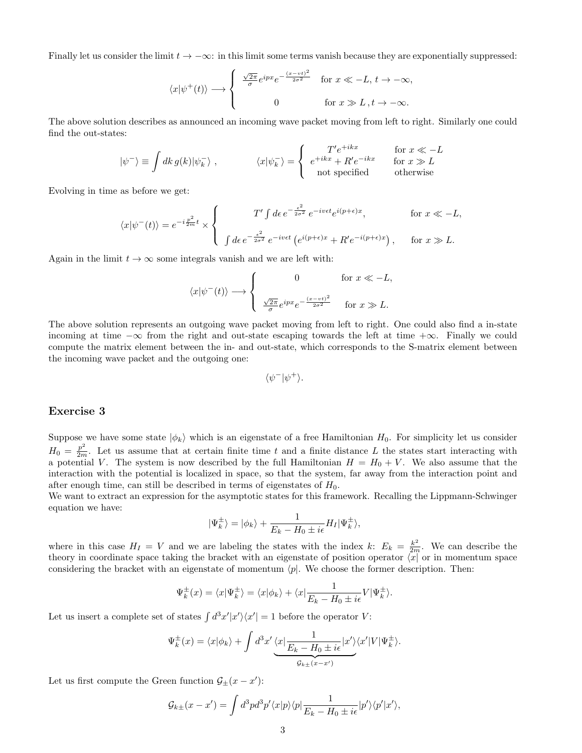Finally let us consider the limit  $t \to -\infty$ : in this limit some terms vanish because they are exponentially suppressed:

$$
\langle x|\psi^+(t)\rangle \longrightarrow \begin{cases} \frac{\sqrt{2\pi}}{\sigma}e^{ipx}e^{-\frac{(x-vt)^2}{2\sigma^2}} & \text{for } x \ll -L, t \to -\infty, \\ 0 & \text{for } x \gg L, t \to -\infty. \end{cases}
$$

The above solution describes as announced an incoming wave packet moving from left to right. Similarly one could find the out-states:

$$
|\psi^{-}\rangle \equiv \int dk \, g(k) |\psi_{k}^{-}\rangle , \qquad \langle x|\psi_{k}^{-}\rangle = \begin{cases} T' e^{+ikx} & \text{for } x \ll -L \\ e^{+ikx} + R' e^{-ikx} & \text{for } x \gg L \\ \text{not specified} & \text{otherwise} \end{cases}
$$

Evolving in time as before we get:

$$
\langle x|\psi^-(t)\rangle = e^{-i\frac{p^2}{2m}t} \times \left\{\n\begin{array}{cc}\nT' \int d\epsilon \, e^{-\frac{\epsilon^2}{2\sigma^2}} \, e^{-iv\epsilon t} e^{i(p+\epsilon)x}, & \text{for } x \ll -L, \\
\int d\epsilon \, e^{-\frac{\epsilon^2}{2\sigma^2}} \, e^{-iv\epsilon t} \left(e^{i(p+\epsilon)x} + R'e^{-i(p+\epsilon)x}\right), & \text{for } x \gg L.\n\end{array}\n\right.
$$

Again in the limit  $t \to \infty$  some integrals vanish and we are left with:

$$
\langle x|\psi^-(t)\rangle \longrightarrow \begin{cases} 0 & \text{for } x \ll -L, \\ \frac{\sqrt{2\pi}}{\sigma}e^{ipx}e^{-\frac{(x-vt)^2}{2\sigma^2}} & \text{for } x \gg L. \end{cases}
$$

The above solution represents an outgoing wave packet moving from left to right. One could also find a in-state incoming at time  $-\infty$  from the right and out-state escaping towards the left at time  $+\infty$ . Finally we could compute the matrix element between the in- and out-state, which corresponds to the S-matrix element between the incoming wave packet and the outgoing one:

$$
\langle \psi^- | \psi^+ \rangle.
$$

#### Exercise 3

Suppose we have some state  $|\phi_k\rangle$  which is an eigenstate of a free Hamiltonian  $H_0$ . For simplicity let us consider  $H_0 = \frac{p^2}{2m}$ . Let us assume that at certain finite time t and a finite distance L the states start interacting with a potential V. The system is now described by the full Hamiltonian  $H = H_0 + V$ . We also assume that the interaction with the potential is localized in space, so that the system, far away from the interaction point and after enough time, can still be described in terms of eigenstates of  $H_0$ .

We want to extract an expression for the asymptotic states for this framework. Recalling the Lippmann-Schwinger equation we have:

$$
|\Psi_k^{\pm}\rangle = |\phi_k\rangle + \frac{1}{E_k - H_0 \pm i\epsilon} H_I |\Psi_k^{\pm}\rangle,
$$

where in this case  $H_I = V$  and we are labeling the states with the index k:  $E_k = \frac{k^2}{2m}$ . We can describe the theory in coordinate space taking the bracket with an eigenstate of position operator  $\langle x |$  or in momentum space considering the bracket with an eigenstate of momentum  $\langle p|$ . We choose the former description. Then:

$$
\Psi_k^{\pm}(x) = \langle x | \Psi_k^{\pm} \rangle = \langle x | \phi_k \rangle + \langle x | \frac{1}{E_k - H_0 \pm i\epsilon} V | \Psi_k^{\pm} \rangle.
$$

Let us insert a complete set of states  $\int d^3x' |x'\rangle\langle x'| = 1$  before the operator V:

$$
\Psi_k^{\pm}(x) = \langle x | \phi_k \rangle + \int d^3 x' \underbrace{\langle x | \frac{1}{E_k - H_0 \pm i\epsilon} | x' \rangle \langle x' | V | \Psi_k^{\pm} \rangle}_{\mathcal{G}_{k\pm}(x-x')}.
$$

Let us first compute the Green function  $\mathcal{G}_{\pm}(x-x')$ :

$$
\mathcal{G}_{k\pm}(x-x') = \int d^3p d^3p' \langle x|p \rangle \langle p| \frac{1}{E_k - H_0 \pm i\epsilon} |p' \rangle \langle p'|x' \rangle,
$$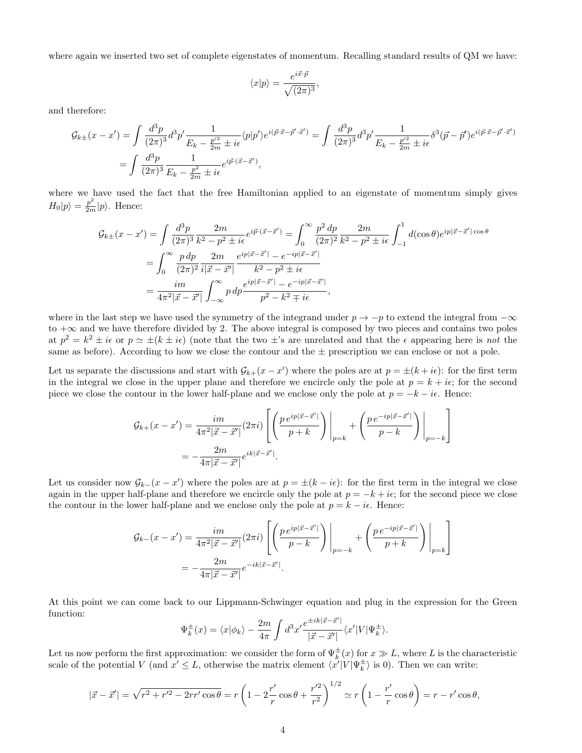where again we inserted two set of complete eigenstates of momentum. Recalling standard results of QM we have:

$$
\langle x|p\rangle = \frac{e^{i\vec{x}\cdot\vec{p}}}{\sqrt{(2\pi)^3}},
$$

and therefore:

$$
\mathcal{G}_{k\pm}(x-x') = \int \frac{d^3p}{(2\pi)^3} d^3p' \frac{1}{E_k - \frac{p'^2}{2m} \pm i\epsilon} \langle p|p'\rangle e^{i(\vec{p}\cdot\vec{x}-\vec{p}'\cdot\vec{x}')} = \int \frac{d^3p}{(2\pi)^3} d^3p' \frac{1}{E_k - \frac{p'^2}{2m} \pm i\epsilon} \delta^3(\vec{p}-\vec{p}')e^{i(\vec{p}\cdot\vec{x}-\vec{p}'\cdot\vec{x}')} = \int \frac{d^3p}{(2\pi)^3} \frac{1}{E_k - \frac{p^2}{2m} \pm i\epsilon} e^{i\vec{p}\cdot(\vec{x}-\vec{x}')}.
$$

where we have used the fact that the free Hamiltonian applied to an eigenstate of momentum simply gives  $H_0|p\rangle = \frac{p^2}{2m}|p\rangle$ . Hence:

$$
\mathcal{G}_{k\pm}(x-x') = \int \frac{d^3p}{(2\pi)^3} \frac{2m}{k^2 - p^2 \pm i\epsilon} e^{i\vec{p}\cdot(\vec{x}-\vec{x}')} = \int_0^\infty \frac{p^2 dp}{(2\pi)^2} \frac{2m}{k^2 - p^2 \pm i\epsilon} \int_{-1}^1 d(\cos\theta) e^{ip|\vec{x}-\vec{x}'|} \cos\theta
$$

$$
= \int_0^\infty \frac{p dp}{(2\pi)^2} \frac{2m}{i|\vec{x}-\vec{x}'|} \frac{e^{ip|\vec{x}-\vec{x}'|} - e^{-ip|\vec{x}-\vec{x}'|}}{k^2 - p^2 \pm i\epsilon}
$$

$$
= \frac{im}{4\pi^2 |\vec{x}-\vec{x}'|} \int_{-\infty}^\infty p dp \frac{e^{ip|\vec{x}-\vec{x}'|} - e^{-ip|\vec{x}-\vec{x}'|}}{p^2 - k^2 \mp i\epsilon},
$$

where in the last step we have used the symmetry of the integrand under  $p \to -p$  to extend the integral from  $-\infty$ to  $+\infty$  and we have therefore divided by 2. The above integral is composed by two pieces and contains two poles at  $p^2 = k^2 \pm i\epsilon$  or  $p \simeq \pm (k \pm i\epsilon)$  (note that the two  $\pm$ 's are unrelated and that the  $\epsilon$  appearing here is not the same as before). According to how we close the contour and the  $\pm$  prescription we can enclose or not a pole.

Let us separate the discussions and start with  $\mathcal{G}_{k+}(x-x')$  where the poles are at  $p = \pm (k + i\epsilon)$ : for the first term in the integral we close in the upper plane and therefore we encircle only the pole at  $p = k + i\epsilon$ ; for the second piece we close the contour in the lower half-plane and we enclose only the pole at  $p = -k - i\epsilon$ . Hence:

$$
G_{k+}(x-x') = \frac{im}{4\pi^2|\vec{x}-\vec{x}'|}(2\pi i) \left[ \left( \frac{p e^{ip|\vec{x}-\vec{x}'|}}{p+k} \right) \Bigg|_{p=k} + \left( \frac{p e^{-ip|\vec{x}-\vec{x}'|}}{p-k} \right) \Bigg|_{p=-k} \right]
$$
  
=  $-\frac{2m}{4\pi|\vec{x}-\vec{x}'|} e^{ik|\vec{x}-\vec{x}'|}.$ 

Let us consider now  $\mathcal{G}_{k-}(x-x')$  where the poles are at  $p = \pm (k - i\epsilon)$ : for the first term in the integral we close again in the upper half-plane and therefore we encircle only the pole at  $p = -k + i\epsilon$ ; for the second piece we close the contour in the lower half-plane and we enclose only the pole at  $p = k - i\epsilon$ . Hence:

$$
\mathcal{G}_{k-}(x-x') = \frac{im}{4\pi^2|\vec{x}-\vec{x}'|}(2\pi i) \left[ \left( \frac{p e^{ip|\vec{x}-\vec{x}'|}}{p-k} \right) \Big|_{p=-k} + \left( \frac{p e^{-ip|\vec{x}-\vec{x}'|}}{p+k} \right) \Big|_{p=k} \right]
$$

$$
= -\frac{2m}{4\pi|\vec{x}-\vec{x}'|} e^{-ik|\vec{x}-\vec{x}'|}.
$$

At this point we can come back to our Lippmann-Schwinger equation and plug in the expression for the Green function:

$$
\Psi_k^{\pm}(x) = \langle x | \phi_k \rangle - \frac{2m}{4\pi} \int d^3x' \frac{e^{\pm ik|\vec{x} - \vec{x}'|}}{|\vec{x} - \vec{x}'|} \langle x' | V | \Psi_k^{\pm} \rangle.
$$

Let us now perform the first approximation: we consider the form of  $\Psi_k^{\pm}(x)$  for  $x \gg L$ , where L is the characteristic scale of the potential V (and  $x' \leq L$ , otherwise the matrix element  $\langle x' | V | \Psi_k^{\pm} \rangle$  is 0). Then we can write:

$$
|\vec{x} - \vec{x}'| = \sqrt{r^2 + r'^2 - 2rr'\cos\theta} = r\left(1 - 2\frac{r'}{r}\cos\theta + \frac{r'^2}{r^2}\right)^{1/2} \approx r\left(1 - \frac{r'}{r}\cos\theta\right) = r - r'\cos\theta,
$$